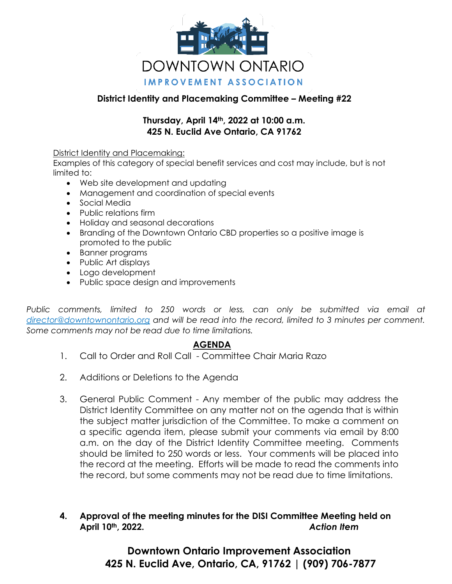

## **District Identity and Placemaking Committee – Meeting #22**

## **Thursday, April 14th, 2022 at 10:00 a.m. 425 N. Euclid Ave Ontario, CA 91762**

#### District Identity and Placemaking:

Examples of this category of special benefit services and cost may include, but is not limited to:

- Web site development and updating
- Management and coordination of special events
- Social Media
- Public relations firm
- Holiday and seasonal decorations
- Branding of the Downtown Ontario CBD properties so a positive image is promoted to the public
- Banner programs
- Public Art displays
- Logo development
- Public space design and improvements

*Public comments, limited to 250 words or less, can only be submitted via email at director@downtownontario.org and will be read into the record, limited to 3 minutes per comment. Some comments may not be read due to time limitations.* 

## **AGENDA**

- 1. Call to Order and Roll Call Committee Chair Maria Razo
- 2. Additions or Deletions to the Agenda
- 3. General Public Comment Any member of the public may address the District Identity Committee on any matter not on the agenda that is within the subject matter jurisdiction of the Committee. To make a comment on a specific agenda item, please submit your comments via email by 8:00 a.m. on the day of the District Identity Committee meeting. Comments should be limited to 250 words or less. Your comments will be placed into the record at the meeting. Efforts will be made to read the comments into the record, but some comments may not be read due to time limitations.

## **4. Approval of the meeting minutes for the DISI Committee Meeting held on April 10th, 2022.** *Action Item*

# **Downtown Ontario Improvement Association 425 N. Euclid Ave, Ontario, CA, 91762 | (909) 706-7877**